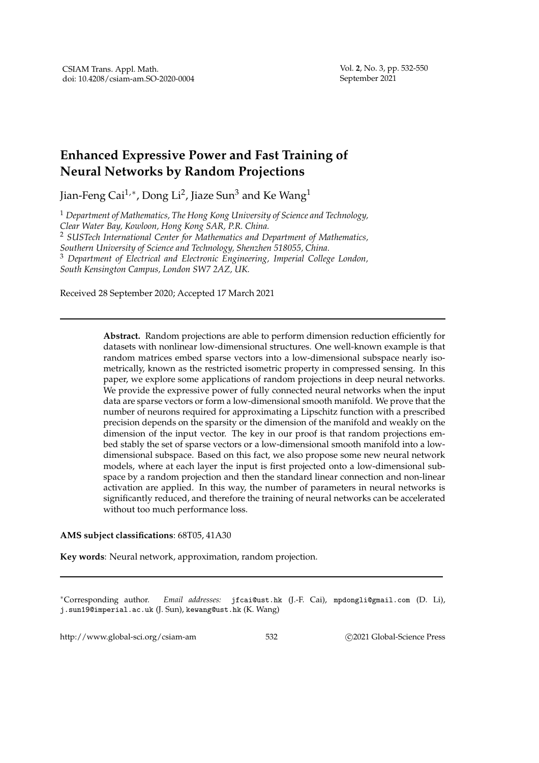## **Enhanced Expressive Power and Fast Training of Neural Networks by Random Projections**

Jian-Feng Cai $^{1,\ast}$ , Dong Li $^2$ , Jiaze Sun $^3$  and Ke Wang $^1$ 

<sup>1</sup> *Department of Mathematics, The Hong Kong University of Science and Technology, Clear Water Bay, Kowloon, Hong Kong SAR, P.R. China.*

<sup>2</sup> *SUSTech International Center for Mathematics and Department of Mathematics,*

*Southern University of Science and Technology, Shenzhen 518055, China.*

<sup>3</sup> *Department of Electrical and Electronic Engineering, Imperial College London, South Kensington Campus, London SW7 2AZ, UK.*

Received 28 September 2020; Accepted 17 March 2021

**Abstract.** Random projections are able to perform dimension reduction efficiently for datasets with nonlinear low-dimensional structures. One well-known example is that random matrices embed sparse vectors into a low-dimensional subspace nearly isometrically, known as the restricted isometric property in compressed sensing. In this paper, we explore some applications of random projections in deep neural networks. We provide the expressive power of fully connected neural networks when the input data are sparse vectors or form a low-dimensional smooth manifold. We prove that the number of neurons required for approximating a Lipschitz function with a prescribed precision depends on the sparsity or the dimension of the manifold and weakly on the dimension of the input vector. The key in our proof is that random projections embed stably the set of sparse vectors or a low-dimensional smooth manifold into a lowdimensional subspace. Based on this fact, we also propose some new neural network models, where at each layer the input is first projected onto a low-dimensional subspace by a random projection and then the standard linear connection and non-linear activation are applied. In this way, the number of parameters in neural networks is significantly reduced, and therefore the training of neural networks can be accelerated without too much performance loss.

## **AMS subject classifications**: 68T05, 41A30

**Key words**: Neural network, approximation, random projection.

∗Corresponding author. *Email addresses:* jfcai@ust.hk (J.-F. Cai), mpdongli@gmail.com (D. Li), j.sun19@imperial.ac.uk (J. Sun), kewang@ust.hk (K. Wang)

http://www.global-sci.org/csiam-am 532 c 2021 Global-Science Press